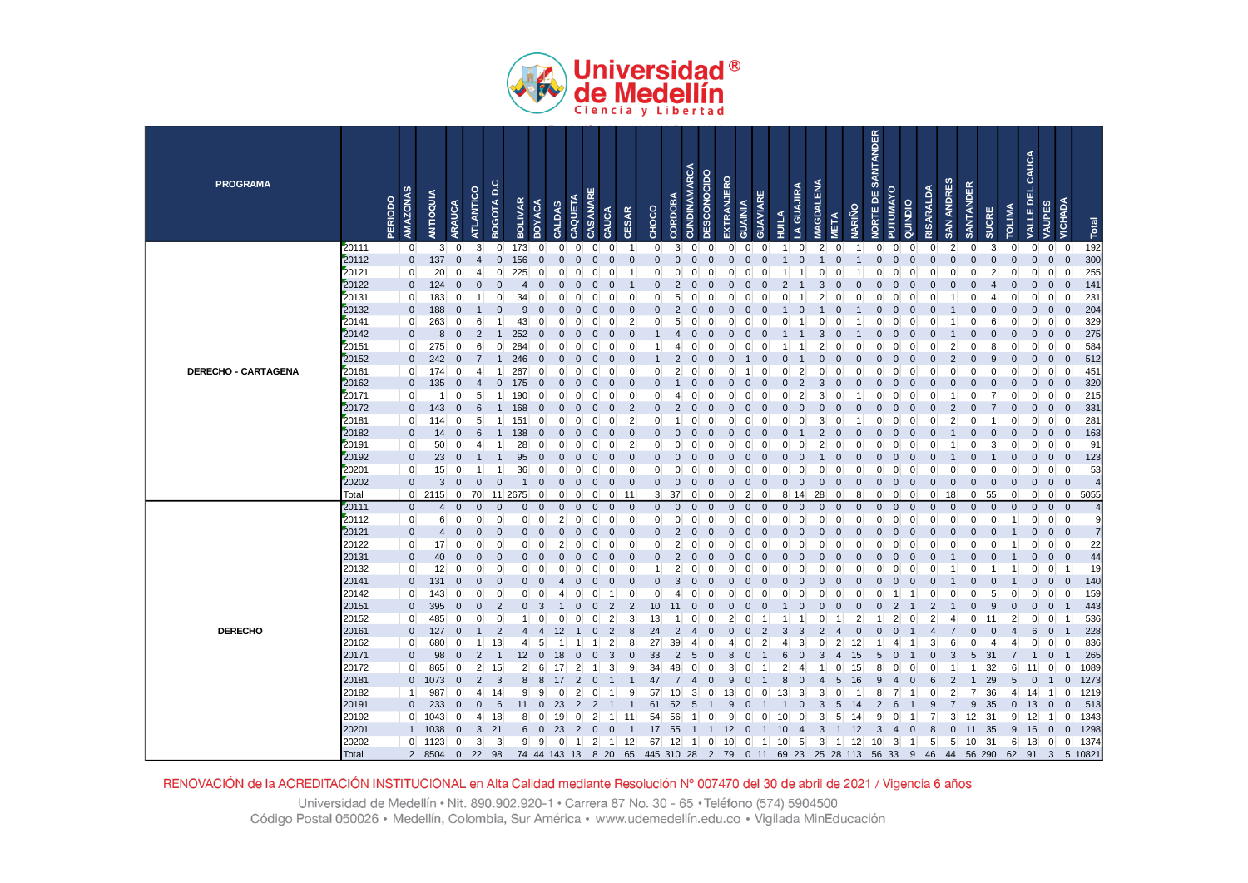

| <b>PROGRAMA</b>            |                | AMAZONAS<br><b>PERIODO</b>    | ANTIOQUIA              | <b>ARAUCA</b>           | ATLANTICO                        | BOGOTA D.C                    | <b>BOLIVAR</b> | <b>BOYACA</b>        | CAQUETA<br><b>CALDAS</b> | <b>CASANARE</b>                  | CAUCA          | <b>CESAR</b>               | CHOCO          | CORDOBA                          | <b>CUNDINAMARCA</b>  | <b>DESCONOCIDO</b> | EXTRANJERO           | GUAVIARE<br><b>GUAINIA</b> | HUILA                   | A GUAJIRA       | <b>MAGDALENA</b> | <b>NARIÑO</b><br><b>META</b> | NORTE DE SANTANDER | PUTUMAYO                         | QUINDIO        | RISARALDA       | SAN ANDRES     | <b>SANTANDER</b> | <b>SUCRE</b>   | <b>TOLIMA</b>        | CAUCA<br>VALLE DEL            | <b>VAUPES</b>                 | VICHADA                       | Total      |
|----------------------------|----------------|-------------------------------|------------------------|-------------------------|----------------------------------|-------------------------------|----------------|----------------------|--------------------------|----------------------------------|----------------|----------------------------|----------------|----------------------------------|----------------------|--------------------|----------------------|----------------------------|-------------------------|-----------------|------------------|------------------------------|--------------------|----------------------------------|----------------|-----------------|----------------|------------------|----------------|----------------------|-------------------------------|-------------------------------|-------------------------------|------------|
|                            | 20111          | $\mathbf 0$                   | $\mathbf{3}$           | $\overline{0}$          | $\mathbf{3}$                     | $\overline{0}$                | 173            | $\overline{0}$       | $\overline{0}$           | $\mathbf 0$<br>$\overline{0}$    | $\overline{0}$ | -1                         | $\overline{0}$ | 3                                | $\mathbf 0$          | $\overline{0}$     | $\overline{0}$       | $\overline{0}$             | $\mathbf 0$<br>1        | $\mathbf 0$     | $\overline{2}$   | $\overline{0}$               | 1                  | $\overline{0}$<br>$\overline{0}$ | $\mathbf 0$    | $\overline{0}$  | $\overline{2}$ | $\overline{0}$   | $\overline{3}$ | $\overline{0}$       | $\overline{0}$                | $\overline{0}$                | $\overline{0}$                | 192        |
|                            | 20112          | $\mathbf 0$                   | 137                    | $\Omega$                | $\overline{4}$                   | $\mathbf 0$                   | 156            | $\mathbf 0$          | $\Omega$                 | $\mathbf 0$<br>0                 | 0              | $\Omega$                   | $\Omega$       | $\Omega$                         | $\overline{0}$       | $\Omega$           | $\overline{0}$       | $\Omega$                   | $\Omega$                | $\mathbf 0$     |                  | $\Omega$                     |                    | $\overline{0}$<br>$\Omega$       | $\mathbf 0$    | $\Omega$        | $\overline{0}$ | $\Omega$         | $\overline{0}$ | $\mathbf 0$          | $\mathbf 0$                   | $\mathsf{O}\xspace$           | $\overline{0}$                | 300        |
|                            | 20121          | $\mathbf 0$                   | 20                     | 0                       | $\overline{4}$                   | $\mathbf{0}$                  | 225            | $\mathbf 0$          | O                        | $\Omega$<br>0                    | 0              |                            | $\Omega$       | O                                | $\Omega$             | 0                  | $\Omega$             |                            |                         |                 | $\Omega$         | 0                            |                    | $\mathbf{0}$<br>$\Omega$         | $\Omega$       | 0               | $\Omega$       | U                | $\overline{2}$ | $\overline{0}$       | $\mathbf 0$                   | $\overline{0}$                | $\mathbf 0$                   | 255        |
|                            | 20122          | $\overline{0}$                | 124                    | $\Omega$                | $\Omega$                         | $\Omega$                      | 4              | $\Omega$             |                          | $\Omega$<br>$\Omega$             |                |                            | $\Omega$       | $\overline{2}$                   | $\Omega$             | r                  | $\Omega$             |                            |                         |                 |                  |                              |                    | $\Omega$                         |                |                 | $\Omega$       |                  | Δ              | $\Omega$             | $\mathbf 0$                   | $\mathbf 0$                   | $\mathbf 0$                   | 141        |
|                            | 20131          | $\mathbf 0$                   | 183                    | $\Omega$                |                                  | $\Omega$                      | 34             | $\Omega$             |                          | $\Omega$<br>O                    |                | $\Omega$                   | $\Omega$       | 5                                | $\Omega$             | O                  | $\Omega$             |                            |                         |                 | 2                | በ                            | O                  | $\Omega$<br>$\Omega$             | $\Omega$       | C               |                |                  | 4              | $\Omega$             | $\mathbf{0}$                  | 0                             | $\mathbf 0$                   | 231        |
|                            | 20132          | $\mathbf 0$<br>$\overline{0}$ | 188<br>263             | $\Omega$                | 6                                | $\Omega$                      | 9<br>43        | $\Omega$<br>$\Omega$ |                          | $\Omega$<br>$\Omega$<br>$\Omega$ |                | $\Omega$<br>$\overline{2}$ | $\Omega$       | $\overline{2}$                   | $\Omega$             | C                  | $\Omega$             |                            |                         | 0               |                  |                              |                    | $\Omega$<br>$\Omega$<br>$\Omega$ | $\Omega$       |                 |                |                  | 0<br>6         | $\Omega$<br>$\Omega$ | $\mathbf 0$<br>$\mathbf{0}$   | $\mathbf 0$<br>$\overline{0}$ | $\overline{0}$<br>$\mathbf 0$ | 204<br>329 |
|                            | 20141<br>20142 | $\mathbf 0$                   | 8                      | $\mathbf 0$<br>$\Omega$ | $\overline{2}$                   | 1<br>$\overline{1}$           | 252            | $\Omega$             |                          | $\Omega$<br>$\Omega$<br>$\Omega$ | O<br>O         | $\Omega$                   | 0              | 5                                | $\Omega$<br>$\Omega$ | 0<br>О             | $\Omega$<br>$\Omega$ |                            |                         |                 | $\Omega$<br>3    | 0                            |                    | $\Omega$<br>$\Omega$             | 0              |                 |                |                  | $\Omega$       | $\mathbf{0}$         | $\mathbf{0}$                  | $\mathbf 0$                   | $\overline{0}$                | 275        |
|                            | 20151          | $\mathbf 0$                   | 275                    | 0                       | 6                                | $\overline{0}$                | 284            | $\Omega$             |                          | n<br>O                           |                | $\Omega$                   |                | Δ                                | $\Omega$             | O                  | ∩                    |                            |                         |                 |                  |                              | п                  | $\Omega$                         | U              | r               |                |                  | 8              | $\Omega$             | $\mathbf{0}$                  | $\mathbf 0$                   | $\mathbf 0$                   | 584        |
|                            | 20152          | $\overline{0}$                | 242                    | $\Omega$                | $\overline{7}$                   | $\overline{1}$                | 246            | $\Omega$             |                          | $\Omega$<br>0                    |                |                            |                | $\overline{2}$                   | $\Omega$             |                    | $\Omega$             |                            |                         |                 | $\Omega$         |                              | Ω                  | $\Omega$                         | $\Omega$       | 0               |                | $\Omega$         | 9              | $\mathbf 0$          | $\mathbf 0$                   | $\mathbf 0$                   | $\mathbf 0$                   | 512        |
| <b>DERECHO - CARTAGENA</b> | 20161          | $\mathbf 0$                   | 174                    | 0                       | 4                                | $\mathbf 1$                   | 267            | $\Omega$             |                          | 0<br>0                           |                | $\Omega$                   | ∩              | 2                                | $\Omega$             | O                  | ∩                    |                            | C                       | 2               | $\Omega$         | ი                            | U                  | $\Omega$<br>$\Omega$             |                | C               | 0              |                  | 0              | $\mathbf 0$          | $\mathbf 0$                   | 0                             | $\mathbf 0$                   | 451        |
|                            | 20162          | $\pmb{0}$                     | 135                    | $\Omega$                |                                  | $\mathbf 0$                   | 175            | $\Omega$             |                          | 0                                |                |                            |                |                                  |                      |                    | $\Omega$             |                            |                         | $\overline{2}$  | 3                |                              |                    | $\Omega$                         |                |                 |                |                  | 0              | $\mathbf 0$          | $\mathbf 0$                   | $\mathbf 0$                   | $\overline{0}$                | 320        |
|                            | 20171          | $\mathbf 0$                   | 1                      | $\mathbf 0$             | 5 <sup>5</sup>                   | $\mathbf{1}$                  | 190            | $\Omega$             |                          | $\Omega$                         |                | $\Omega$                   | 0              | 4                                | $\Omega$             | 0                  | $\Omega$             |                            |                         | $\overline{2}$  | 3                | 0                            |                    | $\Omega$                         |                | U               |                |                  | $\overline{7}$ | 0                    | $\mathbf 0$                   | $\overline{0}$                | $\mathbf 0$                   | 215        |
|                            | 20172          | $\mathbf 0$                   | 143                    | $\Omega$                | 6                                |                               | 168            | $\Omega$             |                          | $\Omega$<br>$\Omega$             |                |                            |                | $\overline{2}$                   | $\Omega$             |                    | $\Omega$             |                            |                         | $\Omega$        |                  |                              |                    | $\Omega$                         |                |                 |                |                  |                | $\mathbf 0$          | $\mathbf 0$                   | $\mathbf 0$                   | $\overline{0}$                | 331        |
|                            | 20181          | $\mathbf 0$                   | 114                    | $\Omega$                | 5                                | $\mathbf 1$                   | 151            | $\Omega$             |                          | $\Omega$<br>$\Omega$             |                | $\overline{2}$             | $\Omega$       | -1                               | $\Omega$             | O                  | $\Omega$             |                            |                         | $\Omega$        | 3                | $\Omega$                     |                    | $\Omega$<br>$\Omega$             | $\Omega$       | O               | $\overline{2}$ |                  |                | $\mathbf{0}$         | $\mathbf{0}$                  | $\overline{0}$                | $\mathbf 0$                   | 281        |
|                            | 20182          | $\overline{0}$                | 14                     | $\Omega$                | 6                                |                               | 138            | $\Omega$             |                          | n<br>r                           |                | $\Omega$                   |                |                                  | $\Omega$             |                    |                      |                            |                         |                 | $\mathfrak{p}$   | n                            |                    | $\Omega$                         |                |                 |                |                  | $\Omega$       | $\Omega$             | $\Omega$                      | $\mathbf{0}$                  | $\mathbf{0}$                  | 163        |
|                            | 20191          | $\mathbf 0$                   | 50                     | $\Omega$                | $\boldsymbol{\Delta}$            | $\mathbf 1$                   | 28             | $\overline{0}$       | $\Omega$                 | 0<br>0                           | $\Omega$       | $\overline{2}$             | <sup>0</sup>   | $\Omega$                         | 0                    | O                  | $\Omega$             |                            |                         | O               | $\overline{2}$   | $\Omega$                     | $\Omega$           | $\Omega$<br>$\Omega$             | ∩              | C               |                |                  | $\overline{3}$ | $\overline{0}$       | $\mathbf{0}$                  | $\overline{0}$                | $\mathbf 0$                   | 91         |
|                            | 20192          | $\bf{0}$                      | 23                     |                         |                                  |                               | 95             | $\Omega$             |                          | $\Omega$<br>0                    |                | $\Omega$                   | $\Omega$       |                                  | O                    |                    | $\Omega$             |                            |                         | O               |                  |                              |                    | $\Omega$                         |                |                 |                |                  |                | $\Omega$             | $\mathbf{0}$                  | $\mathbf 0$                   | $\overline{0}$                | 123        |
|                            | 20201          | $\mathbf 0$                   | 15                     | 0                       | $\overline{1}$                   | $\overline{1}$                | 36             | $\mathbf 0$          | 0                        | $\mathbf 0$<br>0                 | $\overline{0}$ | $\mathbf 0$                | $\Omega$       | $\overline{0}$                   | 0                    | $\Omega$           | $\mathbf{0}$         | $\Omega$                   | $\Omega$<br>0           | $\mathbf{0}$    | $\mathbf{0}$     | $\Omega$                     | $\Omega$           | $\mathbf 0$<br>$\mathbf{0}$      | 0              | $\Omega$        | $\mathbf{0}$   | O                | $\Omega$       | $\mathbf{0}$         | $\mathbf 0$                   | $\overline{0}$                | $\overline{0}$                | 53         |
|                            | 20202          | $\bf{0}$                      | $\mathsf 3$            | $\overline{0}$          | $\mathbf 0$                      | $\mathbf 0$                   | $\mathbf{1}$   | $\mathbf 0$          | $\Omega$                 | $\overline{0}$<br>$\mathbf 0$    | $\Omega$       | $\mathbf 0$                | $\overline{0}$ | $\mathbf 0$                      | $\mathbf 0$          | 0                  | $\overline{0}$       | $\Omega$                   | $\Omega$<br>0           | $\mathbf 0$     | $\mathbf 0$      | $\mathbf 0$                  | 0                  | $\mathbf 0$<br>$\Omega$          | $\mathbf 0$    | 0               | $\mathbf 0$    | $\Omega$         | $\mathbf 0$    | $\mathbf 0$          | $\mathbf 0$                   | $\mathbf 0$                   | $\overline{0}$                |            |
|                            | Total          |                               | $0$ 2115               | $\overline{0}$          | 70                               | 11 2675                       |                | $\overline{0}$       | 0                        | $\mathbf 0$<br>$\mathbf 0$       | $\overline{0}$ | 11                         | $\mathbf{3}$   | 37                               | $\mathbf 0$          | 0                  | $\overline{0}$       | $\overline{2}$             | 0<br>8                  | 14              | 28               | 0                            | 8                  | $\mathbf 0$<br>$\mathbf 0$       | 0              | $\overline{0}$  | 18             | $\overline{0}$   | 55             | $\mathbf 0$          | $\mathbf 0$                   | $\overline{0}$                | $\overline{0}$                | 5055       |
|                            | 20111          | $\mathbf 0$                   | $\overline{4}$         | $\Omega$                | $\overline{0}$                   | $\mathbf{0}$                  | $\mathbf 0$    | $\mathbf{0}$         | $\Omega$                 | $\mathbf 0$<br>0                 | 0              | $\mathbf{0}$               | $\overline{0}$ | $\Omega$                         | $\overline{0}$       | 0                  | $\overline{0}$       |                            | 0<br>$\Omega$           | $\mathbf{0}$    | $\mathbf 0$      | 0                            | 0                  | $\overline{0}$<br>$\Omega$       | $\Omega$       | 0               | $\mathbf{0}$   | $\Omega$         | $\overline{0}$ | $\mathbf{0}$         | $\overline{0}$                | $\mathbf{0}$                  | $\overline{0}$                |            |
|                            | 20112          | $\mathbf 0$                   | 6                      | $\mathbf 0$             | $\overline{0}$                   | $\overline{0}$                | $\overline{0}$ | $\overline{0}$       | $\overline{2}$           | 0<br>$\mathbf{0}$                | $\overline{0}$ | $\mathbf 0$                | $\Omega$       | $\Omega$                         | 0                    | $\mathbf 0$        | $\overline{0}$       | $\Omega$                   | $\mathbf 0$<br>$\Omega$ | $\mathbf 0$     | $\overline{0}$   | $\overline{0}$               | $\mathbf{0}$       | $\overline{0}$<br>$\overline{0}$ | $\mathbf 0$    | $\Omega$        | $\mathbf{0}$   | $\Omega$         | $\overline{0}$ | $\mathbf{1}$         | $\mathbf 0$                   | $\overline{0}$                | $\mathbf 0$                   |            |
|                            | 20121          | $\mathbf 0$                   | $\overline{4}$         | $\Omega$                | $\overline{0}$                   | $\mathbf 0$                   | $\Omega$       | $\Omega$             |                          | $\Omega$<br>$\Omega$             | O              | $\Omega$                   | $\Omega$       | $\overline{2}$                   | $\Omega$             | O                  | $\Omega$             |                            | n                       | $\Omega$        | $\Omega$         | $\Omega$                     | U                  | $\Omega$                         | $\Omega$       | O               | $\Omega$       | O                | 0              |                      | $\mathbf{0}$                  | $\mathbf 0$                   | $\overline{0}$                |            |
|                            | 20122          | $\mathbf 0$                   | 17                     | 0<br>$\Omega$           | $\overline{0}$<br>$\overline{0}$ | $\Omega$                      | $\Omega$       | $\Omega$             | 2                        | $\Omega$<br>0                    | O              | $\Omega$                   | ∩              | $\overline{2}$<br>$\overline{2}$ | $\Omega$             | O                  | $\Omega$             |                            |                         | O               | $\Omega$         | U                            | 0                  | $\Omega$<br>$\Omega$             | ∩              | 0               | O              | O                | 0              |                      | $\mathbf 0$                   | $\overline{0}$                | $\mathbf 0$                   | 22         |
|                            | 20131<br>20132 | $\mathbf 0$<br>$\mathbf 0$    | 40<br>12               | 0                       | $\Omega$                         | $\mathbf 0$<br>$\overline{0}$ | 0<br>$\Omega$  | C<br>$\Omega$        |                          | $\Omega$<br>$\Omega$             |                | $\Omega$                   |                | $\overline{2}$                   | $\Omega$<br>$\Omega$ | O                  | $\Omega$             |                            |                         | $\Omega$        | $\Omega$         | $\Omega$                     | U                  | $\Omega$<br>$\Omega$             | 0              |                 |                |                  | 0              |                      | $\overline{0}$<br>$\mathbf 0$ | $\pmb{0}$<br>$\overline{0}$   | $\mathbf 0$<br>-1             | 44<br>19   |
|                            | 20141          | $\mathbf 0$                   | 131                    | $\Omega$                | $\overline{0}$                   | $\overline{0}$                | 0              | $\Omega$             |                          | $\Omega$<br>$\Omega$             |                | $\Omega$                   | $\Omega$       | 3                                | $\Omega$             | C                  | $\Omega$             |                            |                         | $\Omega$        |                  | $\Omega$                     | 0                  | $\Omega$                         |                |                 |                |                  | 0              |                      | $\mathbf 0$                   | $\mathbf 0$                   | $\overline{0}$                | 140        |
|                            | 20142          | $\pmb{0}$                     | 143                    | 0                       | $\overline{0}$                   | $\mathbf 0$                   | $\Omega$       | $\Omega$             |                          | $\Omega$<br>0                    |                | $\Omega$                   | $\Omega$       |                                  | $\Omega$             | O                  | $\Omega$             |                            |                         | O               | $\Omega$         | $\Omega$                     | $\Omega$           | $\Omega$                         |                | 0               | O              |                  | 5              | $\Omega$             | $\mathbf 0$                   | $\overline{0}$                | $\mathbf 0$                   | 159        |
|                            | 20151          | $\mathbf 0$                   | 395                    | $\Omega$                | $\Omega$                         | $\overline{2}$                | $\Omega$       | 3                    |                          | $\Omega$<br>$\Omega$             | $\overline{2}$ | $\overline{2}$             | 10             | 11                               | $\Omega$             | C                  | $\Omega$             |                            |                         | O               | $\Omega$         | O                            | 0                  | $\Omega$<br>$\overline{2}$       |                | 2               |                | O                | 9              | $\Omega$             | $\mathbf{0}$                  | $\mathbf 0$                   |                               | 443        |
|                            | 20152          | $\mathbf 0$                   | 485                    | $\Omega$                | $\overline{0}$                   | $\mathbf 0$                   | -1             | $\Omega$             |                          | O<br>n                           | $\mathcal{P}$  | 3                          | 13             |                                  | $\Omega$             | O                  | 2                    |                            |                         |                 | $\Omega$         |                              | $\overline{2}$     | 2                                | ∩              | 2               | Δ              |                  |                | 2                    | $\mathbf{0}$                  | $\overline{0}$                | -1                            | 536        |
| <b>DERECHO</b>             | 20161          | $\mathbf 0$                   | 127                    | $\Omega$                | $\overline{1}$                   | $\overline{2}$                | 4              | $\overline{4}$       | 12                       | $\Omega$                         | $\overline{2}$ | 8                          | 24             | 2                                | $\overline{4}$       | ი                  | $\Omega$             |                            | З                       | 3               | $\overline{2}$   | 4                            | $\Omega$           | $\Omega$                         |                |                 |                | $\Omega$         | $\Omega$       |                      | 6                             | $\mathbf 0$                   |                               | 228        |
|                            | 20162          | $\mathbf 0$                   | 680                    | 0                       | $\mathbf 1$                      | 13                            | $\overline{4}$ | 5                    |                          |                                  | $\overline{c}$ | 8                          | 27             | 39                               | 4                    | O                  | 4                    |                            | Δ                       | 3               | $\Omega$         | $\overline{2}$               | 12                 | 1<br>4                           |                | 3               | 6              | U                | 4              | 4                    | $\mathbf{0}$                  | 0                             | $\Omega$                      | 836        |
|                            | 20171          | $\mathbf 0$                   | 98                     | $\Omega$                | $\overline{2}$                   | $\overline{\mathbf{1}}$       | 12             | $\mathbf 0$          | 18                       | $\Omega$<br>0                    | 3              | $\Omega$                   | 33             | $\overline{2}$                   | 5                    | $\Omega$           | 8                    |                            |                         | 0               | 3                | 4                            | 15                 | 5<br>$\Omega$                    |                | 0               | 3              | 5                | 31             |                      | -1                            | $\mathbf 0$                   |                               | 265        |
|                            | 20172          | $\mathbf 0$                   | 865                    | $\Omega$                | $\mathbf{2}$                     | 15                            | $\overline{2}$ | 6                    | 17                       | $\overline{2}$                   | 3              | 9                          | 34             | 48                               | $\Omega$             | 0                  | 3                    |                            | 2                       | 4               |                  | 0                            | 15                 | 8<br>$\Omega$                    | 0              | 0               |                |                  | 32             | 6                    | 11                            | 0                             | 0                             | 1089       |
|                            | 20181          | $\mathbf 0$                   | 1073                   | $\mathbf{0}$            | $\overline{c}$                   | 3                             | 8              | 8                    | 17                       | $\overline{2}$<br>0              |                |                            | 47             | $\overline{7}$                   | $\overline{4}$       | C                  | 9                    |                            | 8                       | 0               |                  | 5                            | 16                 | 9<br>4                           | 0              | 6               |                |                  | 29             | 5                    | $\mathbf 0$                   | $\overline{1}$                | $\overline{0}$                | 1273       |
|                            | 20182          | $\mathbf{1}$                  | 987                    | $\Omega$                | $\overline{4}$                   | 14                            | 9              | 9                    |                          | $\overline{2}$<br>$\Omega$       |                | 9                          | 57             | 10                               | 3                    | 0                  | 13                   |                            | 0<br>13                 | 3               | 3                | 0                            |                    | 8                                |                | C               | 2              | $\overline{7}$   | 36             | 4                    | 14                            | $\mathbf{1}$                  | $\mathbf 0$                   | 1219       |
|                            | 20191          |                               | 233<br>$\mathbf 0$     |                         | $\Omega$                         | 6                             |                | $\Omega$             | 23                       | $\overline{2}$                   |                |                            | 61             | 52                               |                      |                    |                      |                            |                         |                 | 3                | 5                            |                    | $\overline{2}$                   |                |                 |                | 9                | 35             | $\mathbf 0$          | 13                            | $\mathbf 0$                   | $\overline{0}$                | 513        |
|                            | 20192          |                               | $\overline{0}$<br>1043 | $\Omega$                | $\overline{4}$                   | 18                            | 8              | $\mathbf{0}$         | 19                       | 2<br>$\Omega$                    |                | 11                         | 54             | 56                               |                      | $\Omega$           | 9                    |                            | O<br>10                 | $\Omega$        | 3                | 5                            | 14                 | 9                                |                |                 | 3              | 12               | 31             | 9                    | 12                            | -1                            | 0                             | 1343       |
|                            | 20201          |                               | 1038<br>$\mathbf{1}$   | $\Omega$                | 3                                | 21                            | 6              | $\mathbf{0}$         | 23                       | $\overline{2}$<br>$\Omega$       | $\Omega$       |                            | 17             | 55                               |                      |                    | $12 \overline{ }$    |                            | 10                      | 4               | 3                |                              | 12                 | 3                                | $\Omega$       | 8               | $\mathbf{0}$   | 11               | 35             | 9                    | 16                            | $\mathbf 0$                   | $\mathbf 0$                   | 1298       |
|                            | 20202          |                               | $0$ 1123               | $\mathbf 0$             | $\mathbf{3}$                     | 3                             | 9              | 9                    | 0                        | $\mathbf{2}$<br>$\overline{1}$   | $\vert$ 1      | 12                         | 67             | 12                               | -1                   | $\overline{0}$     | 10                   | $\overline{0}$             | $\vert$ 1<br>10         | $5\overline{)}$ | 3                | $\vert$ 1                    | 12                 | 10<br>3                          | $\overline{1}$ | $5\overline{)}$ | 5              | 10 <sup>1</sup>  | 31             | 6                    | 18                            | $\overline{0}$                | $\overline{0}$                | 1374       |
|                            | Total          |                               | 2 8504                 | $\mathbf 0$             | 22                               | 98                            |                | 74 44 143            | 13                       |                                  | 8 20           | 65                         | 445 310 28     |                                  |                      | $\overline{2}$     | 79                   | 0.11                       |                         | 69 23           |                  | 25 28 113                    |                    | 56 33                            | 9              | 46              | 44             | 56 290           |                | 62                   | 91                            | 3                             | 5 10821                       |            |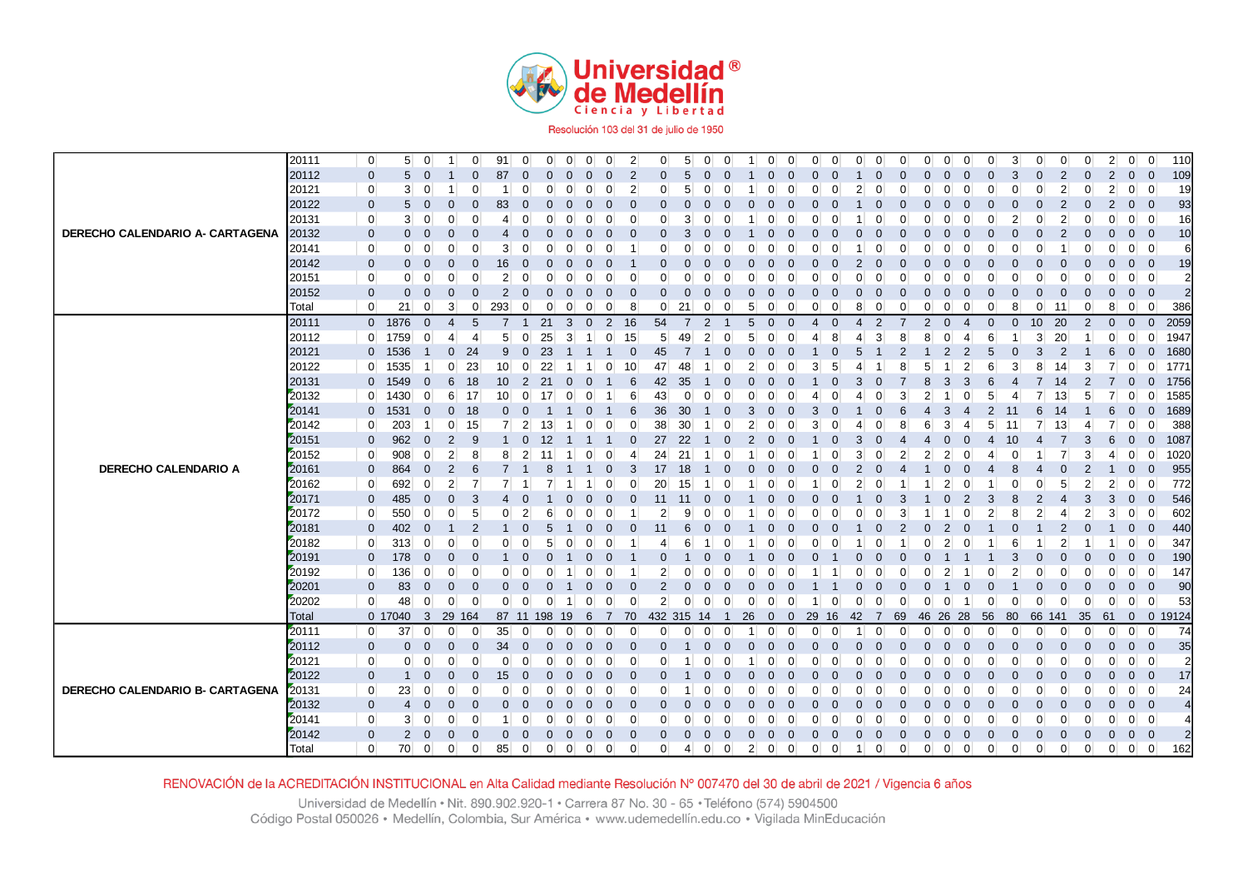

Resolución 103 del 31 de julio de 1950

|                                 | 20111 | $\overline{0}$ | 5 <sup>1</sup> | $\overline{0}$          | $\overline{1}$ | $\overline{0}$ | 91              | $\overline{0}$ | $\overline{0}$ | $\overline{0}$ | $\overline{0}$ | $\overline{0}$       | $\overline{2}$ | $\overline{0}$ | $5^{\circ}$    | $\overline{0}$ | $\overline{0}$ | $\mathbf{1}$   | $\overline{0}$ | $\Omega$       | $\Omega$       | $\overline{0}$ | 0                     | $\overline{0}$ | $\overline{0}$ | $\overline{0}$ | $\overline{0}$<br>0              | $\overline{0}$ | 3                                | $\overline{0}$ |        | $\overline{0}$<br>0        |                | 2 <sup>2</sup><br>$\overline{0}$ | $\overline{0}$           | 110            |
|---------------------------------|-------|----------------|----------------|-------------------------|----------------|----------------|-----------------|----------------|----------------|----------------|----------------|----------------------|----------------|----------------|----------------|----------------|----------------|----------------|----------------|----------------|----------------|----------------|-----------------------|----------------|----------------|----------------|----------------------------------|----------------|----------------------------------|----------------|--------|----------------------------|----------------|----------------------------------|--------------------------|----------------|
|                                 | 20112 | $\mathbf 0$    | 5              | $\mathbf{0}$            |                | $\Omega$       | 87              | $\overline{0}$ | 0              | 0              | $\mathbf{0}$   | $\Omega$             | $\overline{2}$ | $\Omega$       | 5              |                | $\Omega$       |                | O              |                | $\Omega$       |                |                       | 0              | $\Omega$       | $\Omega$       | $\Omega$                         | $\Omega$       | 3                                | 0              |        | $\overline{2}$             |                | $\mathbf{0}$<br>2                | $\overline{\mathbf{0}}$  | 109            |
|                                 | 20121 | $\overline{0}$ | 3 <sup>1</sup> | $\overline{0}$          | -1             | $\mathbf 0$    | -1              | $\Omega$       | ∩              | $\Omega$       | $\overline{0}$ | $\Omega$             | $\overline{2}$ | $\Omega$       | 5              | $\Omega$       | $\Omega$       |                | $\Omega$       |                | $\Omega$       | $\Omega$       | 2                     | $\Omega$       | $\Omega$       | 0              | $\Omega$<br>O                    | 0              | $\Omega$                         | $\Omega$       |        | $\overline{2}$<br>$\Omega$ |                | $\overline{2}$                   | $0 \quad 0$              | 19             |
|                                 | 20122 | $\mathbf 0$    | 5              | $\mathbf 0$             | $\mathbf 0$    | $\mathbf 0$    | 83              | $\mathbf 0$    | $\Omega$       | 0              | $\mathbf 0$    | $\Omega$             | $\mathbf 0$    | $\Omega$       | 0              | 0              | $\Omega$       |                |                |                | 0              |                |                       | 0              | $\mathbf 0$    | $\Omega$       | $\mathbf 0$<br>O                 | $\Omega$       |                                  | $\Omega$       |        | $\overline{2}$             |                | $\overline{2}$<br>$\overline{0}$ | $\bullet$                | 93             |
|                                 | 20131 | $\overline{0}$ | 3 <sup>1</sup> | $\overline{0}$          | $\overline{0}$ | $\mathbf 0$    | 4               | $\Omega$       |                |                | $\overline{0}$ |                      |                | $\Omega$       | 3              | 0              | $\Omega$       |                |                |                |                |                |                       |                | $\Omega$       |                |                                  |                |                                  |                |        | $\overline{2}$             |                | $\overline{0}$                   | $\overline{0}$           | 16             |
| DERECHO CALENDARIO A- CARTAGENA | 20132 | $\mathbf 0$    | $\mathbf{0}$   | $\mathbf 0$             | $\overline{0}$ | 0              | $\overline{4}$  |                |                |                | $\Omega$       |                      | $\Omega$       |                | 3              |                | $\Omega$       |                |                |                |                |                |                       |                | $\Omega$       |                |                                  |                |                                  |                |        | $\overline{2}$             |                | $\mathbf{0}$<br>0                | $\overline{0}$           | 10             |
|                                 | 20141 | $\overline{0}$ | $\overline{0}$ | $\overline{0}$          | $\overline{0}$ | $\Omega$       | 3 <sup>1</sup>  | $\Omega$       | ∩              | <sup>0</sup>   | $\Omega$       | <sup>0</sup>         |                | $\Omega$       | $\Omega$       | $\Omega$       | $\Omega$       |                | n              |                |                |                |                       | O              | ∩              | 0              | $\Omega$<br>O                    |                | $\Omega$                         | 0              |        | 1                          |                | $\Omega$                         | $0 \quad 0$              | 6              |
|                                 | 20142 | $\mathbf 0$    | $\mathbf{0}$   | $\mathbf{0}$            | 0              | $\mathbf 0$    | 16              | $\Omega$       | 0              | $\left($       | $\Omega$       | $\Omega$             |                |                | $\Omega$       | $\Omega$       | $\Omega$       |                |                |                | $\Omega$       |                |                       | $\Omega$       | $\Omega$       |                | 0                                | $\Omega$       |                                  | 0              |        | $\Omega$                   |                | $\mathbf{0}$<br>0                | $\overline{0}$           | 19             |
|                                 | 20151 | $\overline{0}$ | $\overline{0}$ | $\overline{0}$          | $\overline{0}$ | $\mathbf 0$    | $\overline{2}$  | $\Omega$       | U              | $\Omega$       | $\overline{0}$ | 0                    | $\Omega$       |                | $\Omega$       | $\Omega$       | $\Omega$       |                |                |                | 0              |                |                       | O              | $\Omega$       |                | $\Omega$<br>C                    |                |                                  | 0              |        | $\mathbf 0$                |                | $\overline{0}$<br>0              | $\overline{0}$           | $\overline{2}$ |
|                                 | 20152 | $\mathbf 0$    | $\mathbf{0}$   | $\mathbf{0}$            | $\mathbf 0$    | $\Omega$       | $\overline{2}$  | $\Omega$       | 0              | 0              | $\mathbf{0}$   | $\Omega$             | 0              | 0              | $\overline{0}$ | 0              | $\Omega$       | 0              | O              |                | 0              | $\Omega$       | 0                     | 0              | $\Omega$       | $\Omega$       | $\Omega$                         | $\Omega$       |                                  | 0              |        | $\mathbf{0}$               |                | $\mathbf{0}$<br>0                | $\overline{\phantom{0}}$ | $\overline{2}$ |
|                                 | Total | $\overline{0}$ | 21             | $\overline{0}$          | $\mathbf{3}$   | $\overline{0}$ | 293             | $\mathbf 0$    | 0              | 0              | $\mathbf{0}$   | 0                    | 8              | $\overline{0}$ | 21             | $\overline{0}$ | $\mathbf 0$    | 5              | 0              | 0              | 0              |                | 8                     | 0              | 0              |                | 0<br>0                           | 0              | 8                                | $\mathbf 0$    | 11     | 0                          |                | $\overline{0}$<br>8              | $\overline{0}$           | 386            |
|                                 | 20111 |                | 0 1876         | $\overline{0}$          | 4              | 5              | 7               | -1             | 21             | 3              | $\mathbf 0$    | $\overline{2}$       | 16             | 54             | 7              | $\overline{2}$ |                | 5              | $\Omega$       |                | 4              | $\Omega$       | $\boldsymbol{\Delta}$ | 2              |                | $\overline{2}$ | $\Omega$<br>$\Delta$             | $\Omega$       | $\mathbf{0}$                     | 10             | 20     | $\overline{2}$             |                | $\mathbf 0$<br>$\mathbf{0}$      | $\overline{0}$           | 2059           |
|                                 | 20112 |                | 0 1759         | $\overline{0}$          | $\overline{4}$ | 4              | 5 <sup>5</sup>  | $\overline{0}$ | 25             | 3              | $\mathbf{1}$   | 15<br>$\overline{0}$ |                | 5 <sup>5</sup> | 49             | $\overline{2}$ | $\overline{0}$ | 5              | $\overline{0}$ |                | 4              | 8              |                       | 3              | 8              | 8              | $\Omega$<br>4                    | 6              | -1                               | 3 <sup>1</sup> | 20     | -1                         |                | $\overline{0}$<br>0              | $\overline{0}$           | 1947           |
|                                 | 20121 |                | 0 1536         |                         | $\mathbf{0}$   | 24             | 9               | $\overline{0}$ | 23             |                |                |                      | $\Omega$       | 45             | $\overline{7}$ |                | $\Omega$       |                |                |                |                |                |                       |                |                |                | 2<br>2                           | 5              | $\Omega$                         | 3              |        | $\overline{2}$             |                | $\mathbf{0}$<br>6                | $\mathbf{0}$             | 1680           |
|                                 | 20122 |                | $0 \mid 1535$  |                         | $\overline{0}$ | 23             | 10 <sup>1</sup> | $\overline{0}$ | 22             |                |                | 0                    | 10             | 47             | 48             |                | $\overline{0}$ |                |                |                |                | 5              |                       |                |                | 5              |                                  |                | 3                                | 8              | 14     | 3                          |                | $\overline{0}$                   | $\overline{0}$           | 1771           |
|                                 | 20131 |                | 0 1549         | $\mathbf{0}$            | 6              | 18             | 10 <sup>°</sup> | $\overline{2}$ | 21             |                | $\overline{0}$ |                      | 6              | 42             | 35             |                | $\Omega$       |                |                |                |                |                | 3                     |                |                |                | 3                                |                |                                  |                | 14     |                            |                | $\mathbf 0$                      | $\Omega$                 | 1756           |
|                                 | 20132 |                | $0 \quad 1430$ | $\overline{0}$          | $6 \mid$       | 17             | 10 <sup>1</sup> | $\overline{0}$ | 17             | 0              | 0              |                      | 6              | 43             | 0              |                | $\Omega$       |                |                |                |                |                |                       |                | 3              |                |                                  |                |                                  |                | 13     | 5                          |                | $\overline{0}$                   | $\mathbf 0$              | 1585           |
|                                 | 20141 | $\mathbf{0}$   | 1531           | $\mathbf{0}$            | $\mathbf{0}$   | 18             | $\overline{0}$  | $\Omega$       |                |                | O              |                      | 6              | 36             | 30             |                | $\Omega$       | 3              |                |                | 3              |                |                       |                | 6              |                | 3                                |                |                                  | 6              | 14     |                            |                | 6<br>$\mathbf{0}$                | $\Omega$                 | 1689           |
|                                 | 20142 | $\overline{0}$ | 203            |                         | $\overline{0}$ | 15             | $\overline{7}$  | $\overline{2}$ | 13             |                | 0              | 0                    | $\Omega$       | 38             | 30             |                | $\Omega$       |                |                |                |                |                |                       |                |                | 6              | 3                                | 5              | 11                               |                | 13     | -4                         |                | $\overline{0}$                   | $\Omega$                 | 388            |
|                                 | 20151 | $\mathbf 0$    | 962            | $\mathbf 0$             | $\overline{2}$ | 9              |                 | $\mathbf 0$    | 12             |                |                |                      | 0              | 27             | 22             |                | $\overline{0}$ | $\overline{2}$ |                |                |                |                | 3                     |                |                |                | $\Omega$                         | 4              | 10                               |                |        | 3                          |                | 6<br>$\mathbf 0$                 | $\mathbf 0$              | 1087           |
|                                 | 20152 | $\overline{0}$ | 908            | $\overline{0}$          | $\mathbf{2}$   | 8              | 8               | $\overline{2}$ | 11             |                | 0              |                      |                | 24             | 21             |                | $\Omega$       |                |                |                |                |                |                       |                |                |                | 2                                |                |                                  |                |        | 3                          |                | $\overline{0}$<br>4              | 0                        | 1020           |
| <b>DERECHO CALENDARIO A</b>     | 20161 | $\mathbf 0$    | 864            | $\mathbf 0$             | $\overline{2}$ | 6              |                 |                |                |                |                |                      | 3              | 17             | 18             |                | $\Omega$       |                |                |                |                |                |                       |                |                |                |                                  |                |                                  |                |        | $\Omega$                   |                | $\mathbf 0$                      | $\mathbf 0$              | 955            |
|                                 | 20162 | $\overline{0}$ | 692            | $\overline{0}$          | $\overline{2}$ | 7              | 7               |                |                |                |                |                      |                | 20             | 15             |                | $\Omega$       |                |                |                |                |                |                       |                |                |                | 2                                |                |                                  | 0              |        | 5<br>$\overline{2}$        |                | $\overline{0}$<br>2              | $\overline{0}$           | 772            |
|                                 | 20171 | $\mathbf 0$    | 485            | $\mathbf{0}$            | $\mathbf 0$    | 3              | 4               |                |                |                | 0              | $\Omega$             | 0              | 11             | -11            |                | $\Omega$       |                |                |                |                |                |                       | 0              | 3              |                |                                  | 3              | 8                                | 2              |        | 3<br>4                     |                | 3<br>$\mathbf{0}$                | $\Omega$                 | 546            |
|                                 | 20172 | $\overline{0}$ | 550            | $\overline{0}$          | $\overline{0}$ | 5              | $\Omega$        | $\overline{2}$ | 6              |                | 0              | ∩                    |                | 2              | 9              | 0              | 0              |                |                |                |                |                |                       | O              | 3              |                |                                  |                | 8                                | 2              |        | 2<br>4                     |                | 3<br>$\overline{0}$              | $\Omega$                 | 602            |
|                                 | 20181 | $\mathbf 0$    | 402            | $\Omega$                | -1             | $\overline{2}$ |                 | $\Omega$       | 5              |                | $\mathbf{0}$   |                      | $\Omega$       | 11             | 6              |                | $\Omega$       |                |                |                |                |                |                       |                | 2              |                | 2                                |                |                                  |                |        | $\overline{2}$             |                | $\mathbf{0}$                     | $\Omega$                 | 440            |
|                                 | 20182 | $\overline{0}$ | 313            | $\overline{0}$          | $\overline{0}$ | 0              | $\overline{0}$  | $\Omega$       | 5              |                | 0              | ∩                    |                |                | 6              |                | $\Omega$       |                |                |                |                |                |                       |                |                |                |                                  |                |                                  |                |        | $\overline{2}$             |                | $\overline{0}$                   | - 0                      | 347            |
|                                 | 20191 | $\mathbf 0$    | 178            | $\mathbf 0$             | $\mathbf 0$    | $\mathbf 0$    |                 |                |                |                | $\Omega$       |                      |                |                |                |                | $\Omega$       |                |                |                |                |                |                       |                | $\Omega$       |                |                                  |                |                                  |                |        | $\Omega$                   |                | $\mathbf{0}$<br>$\Omega$         | $\overline{0}$           | 190            |
|                                 | 20192 | $\overline{0}$ | 136            | $\Omega$                | $\overline{0}$ | $\Omega$       | $\Omega$        | $\Omega$       |                |                | $\Omega$       |                      |                | 2              | $\Omega$       |                | $\Omega$       |                |                |                |                |                |                       | O              | $\Omega$       | ŋ              | $\overline{2}$                   |                | $\overline{2}$                   | $\Omega$       |        | $\Omega$<br>$\Omega$       |                | $\Omega$<br>0                    | $\Omega$                 | 147            |
|                                 | 20201 | $\mathbf 0$    | 83             | $\mathbf 0$             | $\mathbf 0$    | $\mathbf 0$    | $\mathbf 0$     | $\overline{0}$ | $\overline{0}$ |                | $\mathbf 0$    | 0                    | $\Omega$       | $\overline{2}$ | 0              | 0              | $\Omega$       |                |                |                |                |                |                       | 0              | $\Omega$       | $\mathbf 0$    |                                  |                |                                  | 0              |        | $\mathbf 0$<br>$\Omega$    |                | $\mathbf 0$<br>$\mathbf 0$       | $\overline{0}$           | 90             |
|                                 | 20202 | $\overline{0}$ | 48             | $\overline{0}$          | $\overline{0}$ | - 0            | $\overline{0}$  | $\overline{0}$ | $\overline{0}$ |                | $\overline{0}$ | $\overline{0}$       | $\Omega$       | 2 <sup>2</sup> | $\mathbf 0$    | $\overline{0}$ | $\overline{0}$ | $\Omega$       | $\Omega$       | $\Omega$       | $\overline{1}$ | 0              | 0                     | $\mathbf 0$    | $\mathbf 0$    | $\overline{0}$ | $\overline{0}$                   | $\overline{0}$ | $\Omega$                         | $\mathbf 0$    |        | $\mathbf 0$<br>$\Omega$    |                | $\overline{0}$<br>$\overline{0}$ | $\overline{0}$           | 53             |
|                                 | Total |                | 0 17040        | $\overline{\mathbf{3}}$ | 29<br>164      |                | 87 11 198       |                |                | 19             | 6              | <sup>7</sup>         | 70             | 432 315        |                | 14             | $\overline{1}$ | 26             | $\mathbf{0}$   | 0              | 29             | 42<br>-16      | -7                    |                | 69             | 46 26 28       |                                  | 56             | 80                               |                | 66 141 | 35                         | 61             | $\overline{0}$                   |                          | 0 19124        |
|                                 | 20111 | $\overline{0}$ | 37             | $\overline{0}$          | $\overline{0}$ | 0              | 35              | $\overline{0}$ | $\overline{0}$ | -0             | $\overline{0}$ | 0                    | $\Omega$       | 0              | $\overline{0}$ | $\overline{0}$ | $\overline{0}$ |                | $\Omega$       |                | $\Omega$       | 0              |                       | 0              | 0              | 0              | $\mathbf 0$<br>$\Omega$          | $\Omega$       | $\Omega$                         | $\Omega$       |        | $\mathbf 0$                |                | $\Omega$<br>$\overline{0}$       | $\overline{0}$           | 74             |
|                                 | 20112 | $\mathbf 0$    | $\mathbf{0}$   | $\mathbf 0$             | $\mathbf 0$    | $\mathbf{0}$   | 34              | $\overline{0}$ | $\Omega$       | 0              | $\Omega$       | $\Omega$             | $\Omega$       | n              |                |                | $\Omega$       |                |                |                | ∩              |                |                       | O              | $\Omega$       |                | 0<br>$\sqrt{ }$                  |                | $\Omega$                         | ი              |        | $\Omega$                   |                | $\overline{0}$<br>$\Omega$       | $\overline{0}$           | 35             |
|                                 | 20121 | $\overline{0}$ | $\overline{0}$ | $\overline{0}$          | $\overline{0}$ | 0              | $\overline{0}$  | $\mathbf 0$    | ∩              | O              | $\overline{0}$ | O                    | $\Omega$       |                |                |                | $\Omega$       |                |                |                | n              |                |                       | O              | $\Omega$       |                | $\Omega$<br>C                    | ∩              |                                  | 0              |        | $\mathbf 0$                |                | 0                                | $0 \vert 0 \vert$        | $\overline{2}$ |
|                                 | 20122 | $\mathbf 0$    | $\mathbf{1}$   | $\mathbf 0$             | $\mathbf 0$    | $\mathbf 0$    | 15              | $\overline{0}$ |                | 0              | $\mathbf{0}$   | $\Omega$             | $\Omega$       | 0              |                |                | O              |                |                |                | $\Omega$       |                |                       |                | $\Omega$       | 0              | 0                                |                |                                  | ი              |        | $\Omega$                   |                | $\mathbf{0}$<br>$\Omega$         | $\overline{0}$           | 17             |
| DERECHO CALENDARIO B- CARTAGENA | 20131 | $\overline{0}$ | 23             | $\overline{0}$          | $\overline{0}$ | 0              | $\overline{0}$  | $\Omega$       |                |                | $\Omega$       |                      |                |                |                |                | 0              |                |                |                |                |                |                       |                | $\Omega$       |                | $\Omega$                         |                |                                  |                |        | $\Omega$                   |                | $\overline{0}$<br>0              | $\overline{0}$           | 24             |
|                                 | 20132 | $\mathbf 0$    | $\overline{4}$ | $\mathbf 0$             | $\mathbf 0$    | $\mathbf{0}$   | $\mathbf{0}$    | $\mathbf 0$    | $\Omega$       | $\Omega$       | $\mathbf{0}$   | $\Omega$             | $\Omega$       |                | $\Omega$       | $\Omega$       | $\Omega$       |                |                |                |                |                |                       | O              | $\Omega$       |                | 0                                |                |                                  | $\Omega$       |        | $\Omega$                   |                | $\mathbf{0}$<br>$\Omega$         | $\overline{\mathbf{0}}$  |                |
|                                 | 20141 | $\overline{0}$ | 3 <sup>1</sup> | $\overline{0}$          | $\overline{0}$ | $\mathbf 0$    | 1               | $\overline{0}$ | 0              | 0              | $\overline{0}$ | 0                    | 0              | $\Omega$       | $\Omega$       | $\overline{0}$ | $\overline{0}$ | 0              | $\overline{0}$ | O              | 0              | $\Omega$       | $\Omega$              | 0              | 0              | 0              | $\overline{0}$<br>0              | 0              | 0                                | 0              |        | $\mathbf 0$                |                | 0                                | $0 \quad 0$              |                |
|                                 | 20142 | $\mathbf 0$    | $\overline{2}$ | $\mathbf 0$             | $\mathbf 0$    | $\Omega$       | $\mathbf{0}$    | $\Omega$       | 0              | $\Omega$       | $\mathbf{0}$   | $\Omega$             | $\Omega$       |                | $\Omega$       | $\Omega$       | $\mathbf{0}$   | $\Omega$       | O              |                | $\Omega$       | $\Omega$       | $\Omega$              | 0              | $\Omega$       | $\Omega$       | $\mathbf{0}$<br>$\Omega$         | $\Omega$       | $\Omega$                         | $\Omega$       |        | $\mathbf 0$<br>$\Omega$    |                | $\mathbf{0}$<br>$\Omega$         | $\overline{0}$           | 2              |
|                                 | Total | $\overline{0}$ | 70             | $\overline{0}$          | $\overline{0}$ | $\overline{0}$ | 85              | $\overline{0}$ | $\overline{0}$ | $\overline{0}$ | $\overline{0}$ | $\overline{0}$       | 0              | $\overline{0}$ | 4              | $\overline{0}$ | $\overline{0}$ | $\overline{2}$ | $\overline{0}$ | $\overline{0}$ | $\overline{0}$ | $\mathbf 0$    | $\mathbf{1}$          | $\overline{0}$ | $\overline{0}$ | $\overline{0}$ | $\overline{0}$<br>$\overline{0}$ |                | $\overline{0}$<br>$\overline{0}$ | $\overline{0}$ |        | $\overline{0}$             | $\overline{0}$ | $\overline{0}$<br>$\overline{0}$ | $\overline{0}$           | 162            |

RENOVACIÓN de la ACREDITACIÓN INSTITUCIONAL en Alta Calidad mediante Resolución Nº 007470 del 30 de abril de 2021 / Vigencia 6 años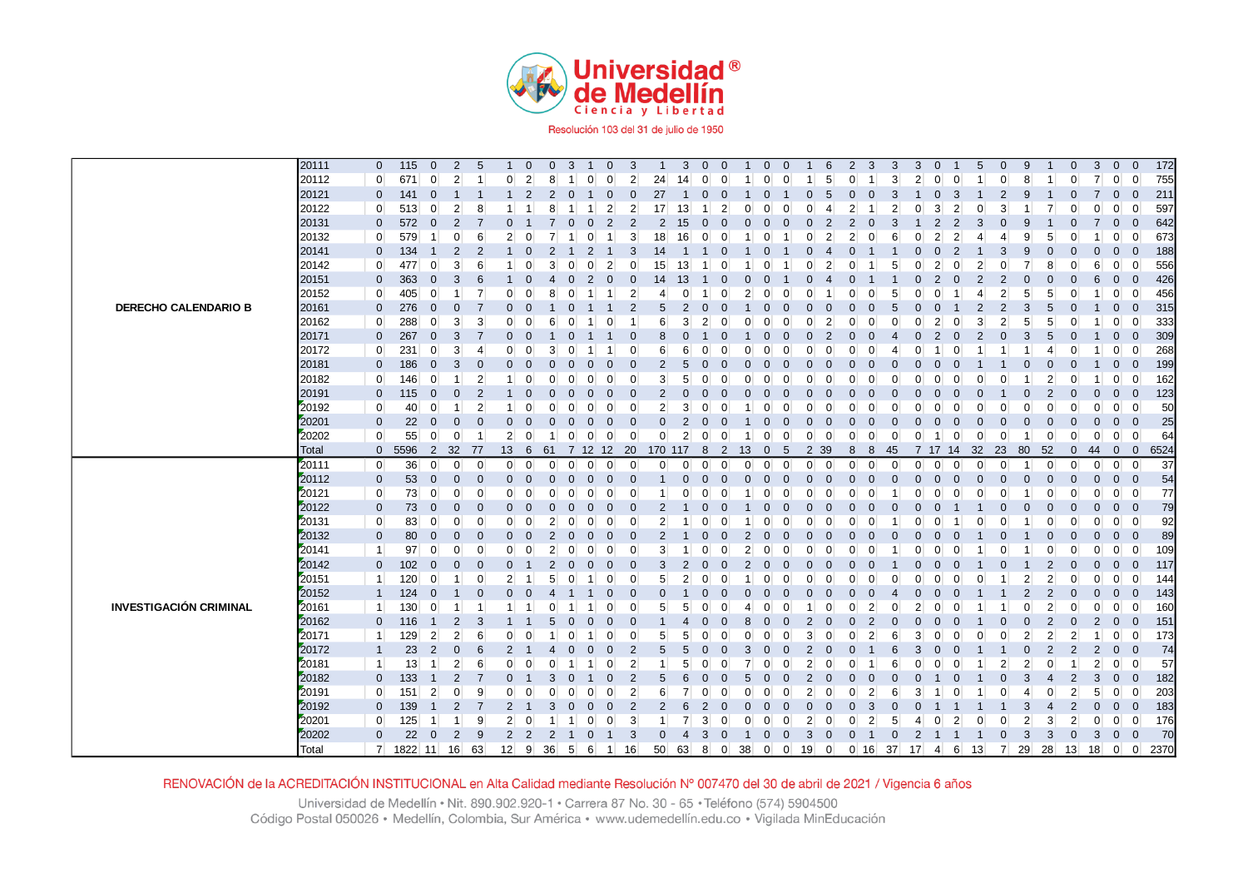

|                               | 20111                 | $\mathbf 0$                | 115                   | $\mathbf 0$             | $\overline{2}$   | 5              |                               | $\mathbf 0$    | $\mathbf 0$          | 3              |                         | $\overline{0}$ | 3                                |                     | 3               | $\mathbf 0$         | $\Omega$       |          | $\mathbf 0$    |                | 6                             | 2        | 3              | 3                                  | 3              | $\mathbf 0$    |                | 5              | $\mathbf 0$                   | 9              |                | $\mathbf{0}$      | 3                  | $\mathbf 0$          | $\mathbf{0}$                  | 172                      |
|-------------------------------|-----------------------|----------------------------|-----------------------|-------------------------|------------------|----------------|-------------------------------|----------------|----------------------|----------------|-------------------------|----------------|----------------------------------|---------------------|-----------------|---------------------|----------------|----------|----------------|----------------|-------------------------------|----------|----------------|------------------------------------|----------------|----------------|----------------|----------------|-------------------------------|----------------|----------------|-------------------|--------------------|----------------------|-------------------------------|--------------------------|
|                               | 20112                 | $\mathbf{0}$               | 671                   | $\mathbf 0$             | $\overline{2}$   |                | $\Omega$                      | $\vert$ 2      | 8                    |                | $\Omega$                | $\mathbf{0}$   | $\overline{2}$                   | 24                  | 14              | $\mathbf 0$         | $\Omega$       |          | $\overline{0}$ |                | 5                             | $\Omega$ |                | 3                                  | $\overline{2}$ | $\overline{0}$ | $\Omega$       |                | $\overline{0}$                | 8              |                |                   | $\overline{7}$     | $\overline{0}$       | $\Omega$                      | 755                      |
|                               | 20121                 | $\mathbf 0$                | 141                   | $\mathbf 0$             | $\mathbf 1$      |                | $\mathbf 1$                   | $\overline{2}$ | $\overline{2}$       |                |                         | 0              | $\mathbf{0}$                     | 27                  | -1              | $\mathbf{0}$        | $\Omega$       |          | $\mathbf 0$    |                | 0<br>5                        |          | $\Omega$       | З                                  |                | $\mathbf 0$    | -3             |                | $\overline{2}$                | -9             |                |                   | 7                  | $\mathbf 0$          | $\Omega$                      | 211                      |
|                               | 20122                 | $\mathbf 0$                | 513                   | $\overline{0}$          | $\overline{2}$   | 8              |                               |                | 8                    |                |                         | $\mathbf{2}$   | $\overline{2}$                   | 17 <sup>1</sup>     | 13              |                     | 2              |          |                |                | 0                             |          |                |                                    |                | 3              | 2              | 0              | $\mathbf{3}$                  |                |                |                   | $\overline{0}$     | $\overline{0}$       | $\overline{0}$                | 597                      |
|                               | 20131                 | $\mathbf 0$                | 572                   | $\mathbf 0$             | $\overline{2}$   | $\overline{7}$ | $\Omega$                      |                |                      |                |                         | $\overline{2}$ | 2                                | $\overline{2}$      | 15              | $\mathbf{0}$        |                |          |                |                | $\Omega$<br>2                 |          |                |                                    |                | $\overline{2}$ | $\overline{2}$ | 3              | $\Omega$                      | g              |                |                   |                    | $\mathbf 0$          | $\mathbf{0}$                  | 642                      |
|                               | 20132                 | $\mathbf{0}$               | 579                   | $\mathbf{1}$            | $\overline{0}$   | 6              | $\overline{2}$                | $\mathbf 0$    | 7                    |                | ∩                       |                | 3                                | 18                  | 16              | $\Omega$            | O              |          | 0              |                | 2<br>O                        |          |                | 6                                  | n              | $\overline{2}$ | 2              | 4              | $\overline{4}$                | 9              | 5              |                   |                    | $\mathbf 0$          | $\Omega$                      | 673                      |
|                               | 20141                 | $\mathbf 0$                | 134                   | -1                      | $\overline{2}$   | $\overline{2}$ |                               | $\Omega$       | 2                    |                | $\overline{2}$          |                | 3                                | 14                  |                 |                     |                |          |                |                |                               |          |                |                                    |                | $\mathbf{0}$   | $\overline{2}$ |                | 3                             | 9              |                |                   | $\mathbf{0}$       | $\mathbf{0}$         | $\Omega$                      | 188                      |
|                               | 20142                 | $\mathbf 0$                | 477                   | $\overline{0}$          | 3                | 6              |                               | $\Omega$       | 3                    |                |                         | $\overline{2}$ | $\overline{0}$                   | 15                  | 13              |                     |                |          |                |                |                               |          |                |                                    |                | $\overline{2}$ |                | $\overline{2}$ | $\Omega$                      |                | 8              |                   | 6                  | 0                    | $\Omega$                      | 556                      |
|                               | 20151                 | $\mathbf 0$                | 363                   | $\overline{0}$          | 3                | 6              |                               | $\Omega$       |                      |                | 2                       | 0              | $\mathbf 0$                      | 14                  | 13              |                     |                |          |                |                |                               |          |                |                                    |                | $\overline{2}$ | $\Omega$       | 2              | $\overline{2}$                |                |                |                   | 6                  | $\mathbf{0}$         | $\Omega$                      | 426                      |
|                               | 20152                 | $\mathbf 0$                | 405                   | $\overline{0}$          | $\mathbf{1}$     | 7              | $\Omega$                      | $\mathbf 0$    | 8                    |                |                         |                | $\overline{2}$                   | 4                   | $\overline{0}$  |                     | $\Omega$       | 2        | $\Omega$       |                | O                             |          | ∩              | 5                                  | 0              | $\Omega$       |                | 4              | $\mathbf{2}$                  | 5              | 5              | $\Omega$          |                    | 0                    | $\overline{0}$                | 456                      |
| <b>DERECHO CALENDARIO B</b>   | 20161                 | $\mathbf 0$                | 276                   | $\overline{0}$          | $\mathbf 0$      |                | $\mathbf{0}$                  | $\overline{0}$ |                      |                |                         |                | $\overline{2}$                   | 5                   | $\overline{2}$  | $\mathbf{0}$        |                |          | $\Omega$       |                | $\Omega$                      |          |                |                                    | $\Omega$       |                |                | $\overline{2}$ | $\overline{2}$                | 3              |                | $\Omega$          |                    | $\mathbf 0$          | $\Omega$                      | 315                      |
|                               | 20162                 | $\mathbf 0$                | 288                   | 0                       | 3                | 3              | $\Omega$                      | 0              | 6                    |                |                         | 0              |                                  | 6                   | 3               | 2                   |                |          | 0              |                | 0                             |          |                |                                    | 0              | $\overline{2}$ |                | 3              | $\overline{2}$                | 5              | 5              |                   |                    | $\Omega$             | $\Omega$                      | 333                      |
|                               | 20171                 | $\pmb{0}$                  | 267                   | $\mathbf 0$             | $\sqrt{3}$       |                | $\mathbf 0$                   | $\mathbf 0$    |                      |                |                         |                | $\overline{0}$                   | 8                   | $\overline{0}$  |                     |                |          | $\Omega$       |                | $\Omega$                      |          |                |                                    |                | $\overline{2}$ |                | $\overline{2}$ | $\overline{0}$                | 3              | 5              |                   |                    | $\mathbf 0$          | $\mathbf{0}$                  | 309                      |
|                               | 20172                 | $\overline{0}$             | 231                   | $\overline{0}$          | 3                | $\overline{4}$ | U                             | $\mathbf 0$    | 3                    |                |                         |                | $\overline{0}$                   | 6                   | 6               | ∩                   | C              |          | <sup>0</sup>   |                | U                             |          |                | 4                                  | ∩              |                |                |                |                               |                | 4              | ∩                 |                    | 0                    | $\Omega$                      | 268                      |
|                               | 20181                 | $\mathbf 0$                | 186                   | $\mathbf 0$             | $\sqrt{3}$       | $\mathbf 0$    | $\mathbf{0}$                  | $\mathbf{0}$   | $\mathbf{0}$         |                | $\mathbf 0$             | 0              | $\mathbf 0$                      | $\overline{2}$      | $5\phantom{.0}$ | $\mathbf{0}$        | $\Omega$       | $\Omega$ | $\Omega$       |                | 0                             |          |                |                                    |                | $\mathbf{0}$   |                |                |                               | 0              | 0              | 0                 | -1                 | $\mathbf 0$          | $\Omega$                      | 199                      |
|                               | 20182                 | $\mathbf 0$                | 146                   | $\overline{0}$          | $\mathbf 1$      | $\overline{c}$ |                               | $\mathbf 0$    | 0                    |                | $\mathbf 0$             | 0              | $\overline{0}$                   | 3                   | $\sqrt{5}$      |                     |                |          | $\Omega$       |                |                               |          |                |                                    |                |                |                |                | $\Omega$                      |                | 2              |                   |                    | 0                    | $\Omega$                      | 162                      |
|                               | 20191                 | $\mathbf 0$                | 115                   | $\mathbf 0$             | $\Omega$         | $\overline{2}$ |                               | $\mathbf 0$    | $\Omega$             |                | 0                       | 0              | $\mathbf 0$                      | $\overline{2}$      | $\mathbf{0}$    |                     |                |          |                |                | ი                             |          |                |                                    |                |                |                |                |                               | $\Omega$       |                |                   | 0                  | $\mathbf 0$          | $\mathbf{0}$                  | 123                      |
|                               | 20192                 | $\mathbf 0$                | 40                    | $\overline{0}$          | $\vert$ 1        | $\overline{2}$ |                               | $\overline{0}$ | $\mathbf 0$          | $\mathbf 0$    | $\mathbf 0$             | 0              | $\mathbf 0$                      | 2 <sup>2</sup>      | $\mathbf{3}$    | $\Omega$            |                |          | $\Omega$       |                | O                             |          |                |                                    |                | $\Omega$       |                |                | $\Omega$                      | $\Omega$       |                | $\Omega$          | $\Omega$           | $\overline{0}$       | $\overline{0}$                | 50                       |
|                               | 20201                 | $\mathbf 0$                | 22                    | $\overline{0}$          | $\mathbf 0$      | $\mathbf 0$    | $\mathbf 0$                   | $\mathbf 0$    | $\mathbf 0$          | $\mathbf 0$    | $\mathbf 0$             | 0              | $\mathbf 0$                      | $\mathbf 0$         | $\overline{2}$  | $\mathbf 0$         |                |          | $\mathbf 0$    |                | 0<br>0                        |          | 0              | C                                  | 0              | $\mathbf 0$    |                | 0              | $\mathbf 0$                   | $\mathbf 0$    | 0              | $\mathbf 0$       | 0                  | $\mathbf 0$          | $\mathbf 0$                   | 25                       |
|                               | 20202                 | $\mathbf 0$                | 55                    | $\overline{0}$          | $\mathbf 0$      | -1             | $\overline{2}$                | $\overline{0}$ | -1                   | $\Omega$       | $\mathbf 0$             | $\mathbf 0$    | $\mathbf 0$                      | $\overline{0}$      | $\overline{2}$  | $\overline{0}$      | 0              |          | $\overline{0}$ | 0              | 0<br>$\Omega$                 |          | $\Omega$       | C                                  | $\Omega$       | -1             | $\Omega$       | $\Omega$       | 0                             |                | 0              |                   | $\Omega$           | 0                    | $\overline{0}$                | 64                       |
|                               | <b>Total</b>          | $\mathbf{0}$               | 5596                  | $\overline{2}$          | 32               | 77             | 13                            | 6              | 61                   | 7              | 12                      | 12             | 20                               | 170                 | 117             | 8                   | $\overline{2}$ | 13       | $\mathbf 0$    | 5              | $\overline{2}$<br>39          | 8        | 8              | 45                                 |                | 17 14          |                | 32             | 23                            | 80             | 52             | $\mathbf 0$       | 44                 | $\overline{0}$       | $\mathbf 0$                   | 6524                     |
|                               | 20111                 | $\overline{0}$             | 36                    | $\overline{0}$          | $\overline{0}$   | $\mathbf 0$    | $\overline{0}$                | $\overline{0}$ | $\overline{0}$       | $\Omega$       | $\Omega$                | $\overline{0}$ | $\overline{0}$                   | $\overline{0}$      | $\overline{0}$  | $\overline{0}$      | $\Omega$       | $\Omega$ | $\overline{0}$ | $\Omega$       | $\Omega$<br>$\Omega$          | $\Omega$ | $\Omega$       | $\Omega$                           | $\Omega$       | $\Omega$       | $\Omega$       | $\overline{0}$ | $\mathbf 0$                   |                | $\Omega$       | $\Omega$          | $\overline{0}$     | $\overline{0}$       | $\overline{0}$                | 37                       |
|                               | 20112                 | $\mathbf 0$                | 53                    | $\overline{0}$          | $\mathbf{0}$     | $\Omega$       | $\Omega$                      | $\overline{0}$ | $\Omega$             | $\Omega$       | $\Omega$                | $\Omega$       | $\mathbf{0}$                     |                     | $\Omega$        | $\Omega$            | $\Omega$       | $\Omega$ | $\Omega$       |                | $\Omega$<br>$\Omega$          |          | $\Omega$       |                                    | $\Omega$       | $\Omega$       | $\Omega$       | $\Omega$       | $\Omega$                      | $\Omega$       | 0              | $\Omega$          | $\Omega$           | $\mathbf{0}$         | $\Omega$                      | 54                       |
|                               | 20121                 | $\mathbf 0$                | 73                    | $\overline{0}$          | $\mathbf 0$      | 0              | $\Omega$                      | $\Omega$       | 0                    |                | $\Omega$                | 0              | $\mathbf 0$                      | 1                   | $\Omega$        |                     |                |          | $\Omega$       |                | በ                             |          |                |                                    |                | $\Omega$       |                |                | $\Omega$                      |                |                |                   | $\Omega$           | $\overline{0}$       | $\overline{0}$                | 77                       |
|                               | 20122                 | $\mathbf 0$                | 73                    | $\overline{\mathbf{0}}$ | $\Omega$         | $\Omega$       | $\Omega$                      | $\Omega$       | $\Omega$             |                | $\Omega$                | $\Omega$       | $\Omega$                         | $\overline{2}$      |                 |                     |                |          | $\Omega$       |                | 0                             |          |                |                                    |                |                |                |                | $\Omega$                      |                |                |                   | $\mathbf 0$        | $\mathbf 0$          | $\overline{0}$                | 79                       |
|                               | 20131                 | $\mathbf 0$                | 83                    | $\overline{0}$          | $\overline{0}$   | 0              | $\overline{0}$                | $\overline{0}$ | 2                    |                | $\Omega$                | 0              | $\overline{0}$                   | $\overline{2}$      |                 |                     |                |          |                |                | O                             |          |                |                                    |                |                |                |                | $\Omega$                      |                |                |                   | 0                  | $\overline{0}$       | $\overline{0}$                | 92                       |
|                               | 20132                 | $\mathbf 0$                | 80                    | $\overline{0}$          | $\mathbf 0$      | $\mathbf 0$    | $\Omega$                      | $\mathbf 0$    | 2                    |                | $\mathbf 0$             | $\Omega$       | $\mathbf 0$                      | $\overline{2}$      |                 | $\Omega$            |                | 2        | $\Omega$       |                | 0                             |          |                |                                    |                | $\Omega$       |                |                | $\mathbf 0$                   |                |                | 0                 | $\mathbf{0}$       | $\mathbf 0$          | $\mathbf{0}$                  | 89                       |
|                               | 20141                 | $\overline{1}$             | 97                    | $\overline{0}$          | $\overline{0}$   | 0              | $\overline{0}$                | $\overline{0}$ | 2                    | $\Omega$       | 0                       | 0              | $\overline{0}$                   | 3 <sup>1</sup>      | -1              | $\Omega$            | $\Omega$       | 2        | $\Omega$       |                | 0<br>$\Omega$                 |          |                |                                    |                | $\overline{0}$ |                |                | $\Omega$                      |                |                | $\Omega$          | $\overline{0}$     | $\overline{0}$       | $\Omega$                      | 109                      |
|                               | 20142                 | $\mathbf 0$                | 102                   | $\overline{0}$          | $\mathbf{0}$     | $\Omega$       | $\mathbf 0$                   |                | $\overline{2}$       |                | $\mathbf 0$             | 0              | $\mathbf{0}$                     | 3                   | $\overline{2}$  | $\mathbf 0$         |                | 2        | $\Omega$       |                | 0                             |          |                |                                    |                | 0              |                |                | 0                             |                | $\overline{2}$ |                   | $\mathbf{0}$       | $\mathbf 0$          | $\Omega$                      | 117                      |
|                               | 20151                 | $\overline{1}$             | 120                   | $\overline{0}$          | $\mathbf{1}$     | 0              | $\overline{2}$                |                | 5                    |                |                         | $\mathbf{0}$   | $\mathbf 0$                      | 5 <sup>5</sup>      | $\overline{2}$  | 0                   | $\Omega$       |          | $\Omega$       |                | 0<br>$\Omega$                 |          |                |                                    |                | $\overline{0}$ |                | <sup>0</sup>   |                               | $\overline{2}$ | 2              |                   | $\overline{0}$     | $\overline{0}$       | $\overline{0}$                | 144                      |
|                               | 20152                 | $\mathbf{1}$               | 124                   | $\mathbf{0}$            | -1               | $\Omega$       | $\Omega$                      | $\mathbf 0$    |                      |                |                         | 0              | $\mathbf{0}$                     | $\Omega$            |                 |                     |                |          |                |                | Ω                             |          |                |                                    |                |                |                |                |                               | 2              | 2              |                   | O                  | $\Omega$             | $\Omega$                      | 143                      |
| <b>INVESTIGACIÓN CRIMINAL</b> | 20161                 | $\vert$ 1                  | 130                   | $\overline{0}$          | $\mathbf{1}$     |                | 1 <sup>1</sup>                | $\vert$ 1      | 0                    |                |                         | 0              | $\mathbf 0$                      | 5 <sup>5</sup>      | $5\overline{)}$ | $\Omega$            |                |          | 0              |                |                               |          | $\overline{2}$ |                                    |                | $\overline{0}$ |                |                |                               | $\Omega$       | 2              | 0                 | $\overline{0}$     | $\overline{0}$       | $\overline{0}$                | 160                      |
|                               | 20162                 | $\mathbf 0$                | 116                   | $\overline{1}$          | $\overline{2}$   | 3              |                               |                | 5                    |                | $\Omega$                | 0              | $\mathbf{0}$                     |                     | $\overline{4}$  | $\Omega$            |                |          | $\Omega$       |                | 2                             |          | $\overline{2}$ |                                    |                | $\mathbf{0}$   |                |                | $\Omega$                      | $\Omega$       | 2              |                   | $\overline{2}$     | $\mathbf 0$          | $\Omega$                      | 151                      |
|                               | 20171                 | $\vert$ 1                  | 129                   | $\overline{2}$          | $\overline{2}$   | 6              | $\overline{0}$                | 0              |                      |                |                         | $\mathbf{0}$   | $\overline{0}$                   | 5 <sup>5</sup>      | $5\overline{)}$ | $\Omega$            | 0              |          |                |                | 3                             |          | 2              |                                    |                | $\Omega$       |                |                | $\Omega$                      | 2              |                |                   |                    | $\overline{0}$       | $\overline{0}$                | 173                      |
|                               | 20172                 | $\overline{1}$             | 23                    | $\overline{2}$          | $\mathbf 0$      | 6              | $\overline{2}$                |                |                      |                | $\Omega$                | 0              | $\overline{2}$                   | 5                   | 5               | $\Omega$            |                | 3        | $\Omega$       |                | 2                             |          |                | 6                                  |                | $\Omega$       | $\Omega$       |                |                               | $\mathbf 0$    | 2              | 2                 | $\overline{2}$     | $\mathbf 0$          | $\mathbf{0}$                  | 74                       |
|                               | 20181                 | $\overline{1}$             | 13                    | $\overline{1}$          | $\vert$ 2        | 6              | $\overline{0}$                | $\overline{0}$ | 0                    |                |                         | $\mathbf{0}$   | $\overline{2}$                   | 1                   | $5\overline{)}$ | $\Omega$            | $\Omega$       | 7        | $\Omega$       | $\Omega$       | $\overline{2}$<br>$\Omega$    |          |                | 6                                  | <sup>0</sup>   | $\Omega$       | $\Omega$       |                | $\overline{2}$                | $\overline{2}$ | ი              |                   | $\overline{2}$     | $\overline{0}$       | $\overline{0}$                | 57                       |
|                               |                       |                            |                       |                         | $\overline{2}$   |                | $\Omega$                      |                | 3                    |                |                         | 0              | $\overline{2}$                   | 5                   | 6               | $\Omega$            |                | 5        | $\Omega$       |                | 2                             |          |                |                                    |                |                | $\Omega$       |                | $\Omega$                      | 3              |                |                   | 3                  | $\mathbf 0$          | $\mathbf{0}$                  | 182                      |
|                               |                       |                            |                       | $\overline{1}$          |                  |                |                               |                |                      |                |                         |                |                                  |                     |                 |                     |                |          |                |                |                               |          |                |                                    |                |                |                |                |                               |                |                |                   |                    |                      |                               |                          |
|                               | 20182                 | $\mathbf 0$                | 133                   |                         |                  | 9              | $\Omega$                      |                | 0                    |                |                         | $\mathbf 0$    |                                  |                     | 7               | 0                   | 0              |          | 0              |                | 2<br>$\Omega$                 |          | $\overline{2}$ |                                    |                |                |                |                | $\Omega$                      |                |                |                   | 5                  |                      | $\overline{0}$                |                          |
|                               | 20191                 | $\mathbf 0$<br>$\mathbf 0$ | 151<br>139            | $\overline{2}$          | $\mathbf 0$<br>2 |                | $\mathcal{P}$                 | $\mathbf 0$    | 3                    |                | 0<br>$\Omega$           | $\Omega$       | $\overline{2}$<br>$\overline{2}$ | 6<br>$\overline{2}$ | 6               | 2                   |                |          | n              |                | 0                             |          | 3              |                                    |                |                |                |                |                               |                |                |                   | O                  | 0<br>$\Omega$        | $\Omega$                      |                          |
|                               | 20192                 |                            |                       | $\overline{1}$          | $\mathbf{1}$     |                |                               |                |                      |                |                         |                |                                  | $\mathbf 1$         | $\overline{7}$  |                     | 0              | $\Omega$ | $\Omega$       | O              | $\Omega$                      | 0        | $\overline{2}$ | 5                                  |                | $\overline{0}$ | $\overline{2}$ | 0              | 0                             | $\overline{2}$ | 3              |                   | $\overline{0}$     |                      |                               |                          |
|                               | 20201                 | $\mathbf 0$                | 125                   |                         |                  | 9              | $\overline{2}$                | $\mathbf 0$    |                      | $\mathbf 1$    | $\mathbf 0$             | $\mathbf{0}$   | 3                                | $\overline{0}$      | $\overline{4}$  | $\mathbf{3}$        | $\mathbf 0$    |          | $\mathbf 0$    | $\mathbf{0}$   | $\overline{2}$<br>$\mathbf 0$ | $\Omega$ |                |                                    | $\overline{2}$ | $\overline{1}$ |                |                |                               |                |                | $\overline{2}$    |                    | $\overline{0}$       | $\overline{0}$                | 203<br>183<br><b>176</b> |
|                               | 20202<br><b>Total</b> | $\mathbf 0$                | 22<br>7 1822 11 16 63 | $\overline{0}$          | $\overline{2}$   | 9              | $\overline{2}$<br>$12 \mid 9$ | $\overline{2}$ | $\overline{2}$<br>36 | 5 <sup>5</sup> | $\mathbf 0$<br>$6 \mid$ | $\overline{1}$ | 3<br>16                          | 50 <sup>°</sup>     | 63              | 3<br>8 <sup>8</sup> | 0              | 38       | $\overline{0}$ | $\overline{0}$ | 3<br>19<br>$\overline{0}$     |          |                | $\mathbf 0$<br>$0 \mid 16 \mid 37$ | 17             |                | $4 \quad 6$    | 13             | $\mathbf 0$<br>7 <sup>1</sup> | 3<br>29        | 3<br>28        | $\mathbf 0$<br>13 | $\mathbf{3}$<br>18 | $\overline{0}$<br> 0 | $\mathbf 0$<br>$\overline{0}$ | 70<br>2370               |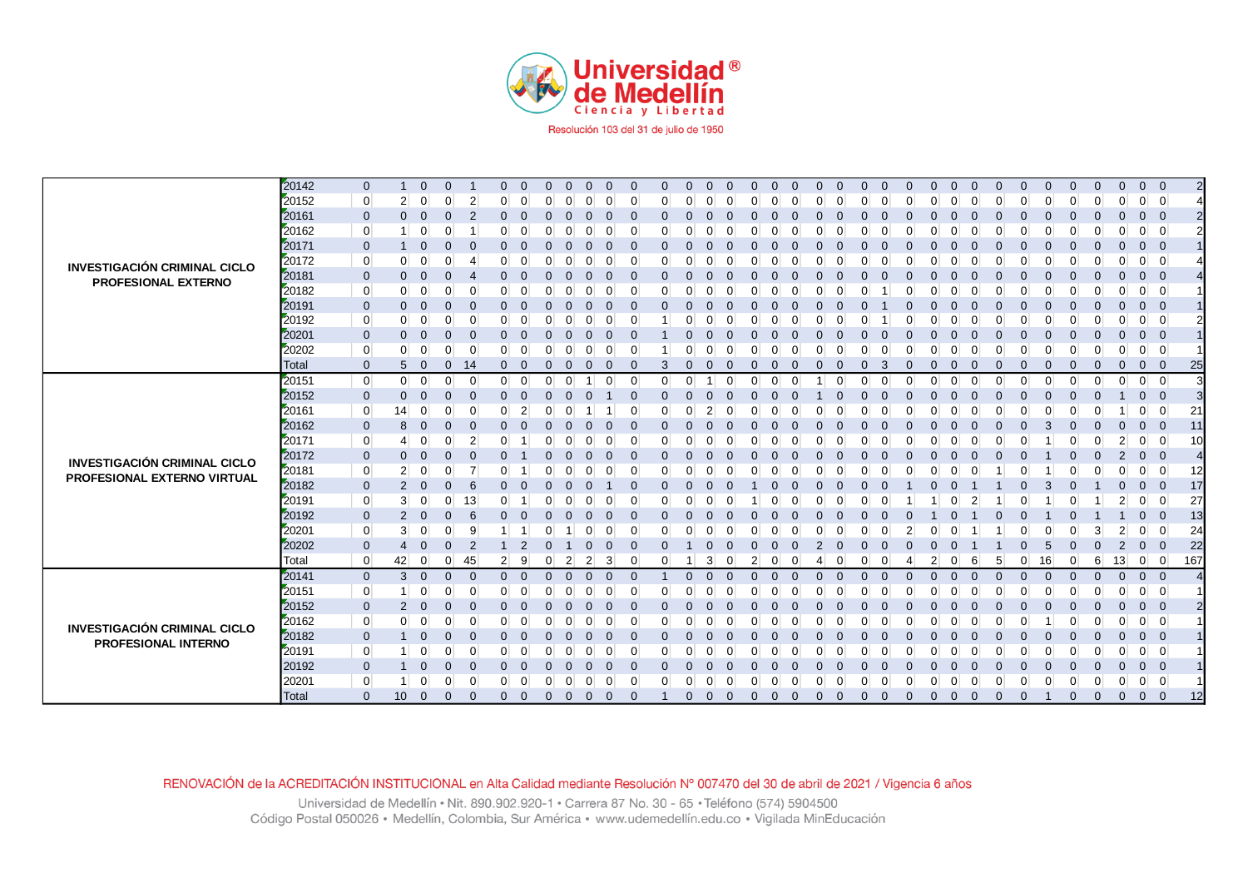

|                                     | 20142 | $\mathbf{0}$   | $\mathbf{1}$   | $\mathbf 0$    | $\Omega$                   | $\Omega$       | $\overline{0}$ | $\mathbf{0}$ | $\Omega$ | $\Omega$       | $\Omega$ | $\Omega$       | $\mathbf{0}$ | $\mathbf{0}$ | $\Omega$ | $\Omega$    | $\Omega$ | $\Omega$ | $\Omega$             |               | $\Omega$ | $\Omega$ | $\Omega$ | $\mathbf{0}$ | $\Omega$ |          | $\Omega$ | $\mathbf{0}$ | $\Omega$ | $\Omega$ | $\mathbf{0}$   | $0\quad 0$     |                          |                |
|-------------------------------------|-------|----------------|----------------|----------------|----------------------------|----------------|----------------|--------------|----------|----------------|----------|----------------|--------------|--------------|----------|-------------|----------|----------|----------------------|---------------|----------|----------|----------|--------------|----------|----------|----------|--------------|----------|----------|----------------|----------------|--------------------------|----------------|
|                                     | 20152 | $\mathbf 0$    | 2 <sup>1</sup> | $\overline{0}$ | $\Omega$<br>2              | 0              | $\Omega$       | $\Omega$     |          | ∩              | 0        | $\Omega$       | 0            | $\Omega$     |          |             | $\Omega$ |          | 0                    |               | $\Omega$ | ∩        |          | $\Omega$     | $\Omega$ |          | 0        | $\Omega$     |          | $\Omega$ | $\Omega$       | $0 \quad 0$    |                          |                |
|                                     | 20161 | $\mathbf 0$    | $\mathbf{0}$   | $\mathbf 0$    | $\Omega$                   | $\Omega$       | $\Omega$       | $\Omega$     |          | $\Omega$       | O        | $\Omega$       | $\mathbf{0}$ | $\mathbf{0}$ |          |             | $\Omega$ |          |                      |               | $\Omega$ |          |          | $\Omega$     | $\Omega$ |          | 0        | $\Omega$     |          |          | $\Omega$       | $0\quad 0$     |                          |                |
|                                     | 20162 | $\overline{0}$ | -1             | $\mathbf 0$    | $\Omega$                   |                | 0              | $\Omega$     |          | $\Omega$       | 0        | $\overline{0}$ | 0            | $\Omega$     |          |             | $\Omega$ |          |                      |               | $\Omega$ |          |          | $\Omega$     | $\Omega$ |          |          | O            |          |          |                | $\overline{0}$ | $\overline{0}$           |                |
|                                     | 20171 | $\mathbf{0}$   | -1             | $\mathbf{0}$   | $\Omega$                   | 0              | $\Omega$       | $\Omega$     |          |                | 0        | $\Omega$       | 0            | $\mathbf 0$  |          |             |          |          |                      |               | $\Omega$ |          |          | $\Omega$     | $\Omega$ |          |          |              |          |          |                | $0\quad 0$     |                          |                |
|                                     | 20172 | $\overline{0}$ | $\overline{0}$ | $\mathbf 0$    | $\Omega$                   | 0              | $\Omega$       | $\Omega$     |          | $\Omega$       | 0        | $\overline{0}$ |              | $\Omega$     |          |             | 0        |          |                      |               | $\Omega$ |          |          | 0            | $\Omega$ |          |          |              |          |          |                | $\overline{0}$ | $\overline{0}$           |                |
| <b>INVESTIGACIÓN CRIMINAL CICLO</b> | 20181 | $\mathbf 0$    | $\mathbf{0}$   | $\mathbf{0}$   |                            |                |                | $\Omega$     |          |                |          | $\Omega$       | U.           | $\Omega$     |          |             |          |          |                      |               |          |          |          |              |          |          |          |              |          |          |                | $\mathbf{0}$   | $\overline{\phantom{0}}$ |                |
| PROFESIONAL EXTERNO                 | 20182 | $\mathbf 0$    | $\overline{0}$ | 0              |                            |                |                | O            |          |                |          | $\Omega$       | 0            | 0            |          |             |          |          |                      |               |          |          |          |              |          |          |          |              |          |          |                | $\overline{0}$ | $\mathbf 0$              |                |
|                                     | 20191 | $\mathbf{0}$   | $\mathbf{0}$   | $\mathbf 0$    | $\Omega$                   |                |                |              |          |                |          | $\Omega$       | 0            | $\Omega$     |          |             |          |          |                      |               |          |          |          |              |          |          |          |              |          |          |                | $0\quad 0$     |                          |                |
|                                     | 20192 | $\overline{0}$ | $\overline{0}$ | 0              | ∩                          | U              |                |              |          |                |          |                |              | ∩            |          |             |          |          |                      |               |          |          |          |              |          |          |          |              |          |          |                | $\overline{0}$ | $\overline{0}$           |                |
|                                     | 20201 | $\mathbf 0$    | $\Omega$       | $\mathbf 0$    |                            |                |                |              |          |                |          |                |              | $\Omega$     |          |             |          |          |                      |               |          |          |          |              |          |          |          |              |          |          |                | $\mathbf{0}$   | $\overline{\phantom{0}}$ |                |
|                                     | 20202 | $\mathbf 0$    | $\overline{0}$ | $\Omega$       | ∩                          |                |                |              |          |                |          | 0              |              |              |          |             |          |          |                      |               |          |          |          |              |          |          |          |              |          |          |                | $\overline{0}$ | $\overline{0}$           |                |
|                                     | Total | $\mathbf{0}$   | 5              | $\Omega$       | $\Omega$<br>14             | $\Omega$       | $\Omega$       | $\Omega$     |          |                |          | $\Omega$       | 3            | $\Omega$     |          |             |          |          |                      |               | 3        |          |          | O            |          |          |          |              |          |          |                | $\mathbf{0}$   | $\Omega$                 | 25             |
|                                     | 20151 | $\overline{0}$ | $\overline{0}$ | $\overline{0}$ | $\Omega$<br>$\Omega$       | $\Omega$       | $\Omega$       | $\Omega$     |          |                | $\Omega$ | $\Omega$       | $\Omega$     | $\Omega$     |          | $\Omega$    | $\Omega$ |          |                      | O<br>$\Omega$ | $\Omega$ | $\Omega$ |          | $\Omega$     | $\Omega$ | $\Omega$ | $\Omega$ | $\Omega$     |          | $\Omega$ | $\Omega$       | $\overline{0}$ | $\overline{0}$           | 3              |
|                                     | 20152 | $\mathbf 0$    | $\mathbf{0}$   | $\mathbf{0}$   | $\Omega$                   |                | $\Omega$       | $\Omega$     |          |                |          | $\Omega$       |              | $\Omega$     |          |             |          |          |                      |               |          |          |          |              |          |          |          |              |          |          |                | $\mathbf{0}$   | $\overline{0}$           |                |
|                                     | 20161 | $\overline{0}$ | 14             | $\mathbf 0$    |                            |                | $\overline{2}$ | ∩            |          |                |          | $\Omega$       |              | $\Omega$     |          |             |          |          |                      |               |          |          |          |              |          |          |          |              |          |          |                | $\overline{0}$ | $\Omega$                 | 21             |
|                                     | 20162 | $\mathbf 0$    | 8              | $\mathbf{0}$   | n                          |                |                | $\Omega$     |          |                |          | $\Omega$       | 0            | $\Omega$     |          |             |          |          |                      |               |          |          |          | $\Omega$     |          |          |          | 3            |          |          |                | $\mathbf{0}$   | $\Omega$                 | 11             |
|                                     | 20171 | $\overline{0}$ | $\overline{4}$ | 0              | $\Omega$<br>$\overline{2}$ |                |                | ∩            |          |                |          | $\Omega$       | 0            | $\Omega$     |          |             |          |          |                      |               |          |          |          |              |          |          |          |              |          |          | 2              | $\overline{0}$ | $\mathbf 0$              | 10             |
| <b>INVESTIGACIÓN CRIMINAL CICLO</b> | 20172 | $\mathbf 0$    | $\mathbf{0}$   | $\mathbf{0}$   | $\Omega$                   |                |                | $\Omega$     |          |                |          |                | 0            | $\Omega$     |          |             |          |          |                      |               |          |          |          |              |          |          |          |              |          |          | $\overline{2}$ | $\mathbf{0}$   | $\overline{0}$           | 4              |
| PROFESIONAL EXTERNO VIRTUAL         | 20181 | $\overline{0}$ | 2 <sup>2</sup> | 0              | $\Omega$                   |                |                | O            |          |                |          | $\Omega$       | 0            | 0            |          |             |          |          |                      |               |          |          |          |              |          |          |          |              |          |          |                | $\overline{0}$ | $\Omega$                 | 12             |
|                                     | 20182 | $\mathbf 0$    | $\overline{2}$ | $\mathbf{0}$   | $\Omega$<br>6              |                |                | $\Omega$     |          |                |          | $\Omega$       | 0            | $\Omega$     |          |             |          |          |                      |               |          |          |          |              |          |          |          | 3            |          |          |                | $\mathbf{0}$   | - 0                      | 17             |
|                                     | 20191 | $\mathbf 0$    | 3 <sup>1</sup> | $\mathbf 0$    | 0<br>13                    |                |                | O            |          |                | 0        | $\Omega$       | 0            | $\Omega$     |          |             |          |          |                      |               |          |          |          |              |          |          |          |              |          |          |                | $\overline{0}$ | $\Omega$                 | 27             |
|                                     | 20192 | $\mathbf 0$    | 2              | $\mathbf 0$    | $\mathbf 0$                | $\Omega$       | 0              | $\Omega$     |          |                | $\Omega$ | $\mathbf{0}$   | 0            | $\mathbf{0}$ |          |             |          |          |                      |               | $\Omega$ |          |          |              |          |          |          |              |          |          |                | $\mathbf 0$    | $\overline{0}$           | 13             |
|                                     | 20201 | $\overline{0}$ | 3 <sup>1</sup> | $\overline{0}$ | $\mathbf 0$<br>-9          |                |                | $\Omega$     |          | $\Omega$       | $\Omega$ | $\overline{0}$ |              | $\Omega$     |          |             | ∩        |          | $\Omega$             |               | $\Omega$ |          |          | 0            |          |          |          | ∩            |          |          | 2              | $\overline{0}$ | $\overline{0}$           | 24             |
|                                     | 20202 | $\mathbf 0$    | 4              | $\mathbf 0$    | $\Omega$<br>-2             |                | $\overline{2}$ | $\Omega$     |          |                | $\Omega$ | $\Omega$       |              |              |          |             |          |          |                      |               |          |          |          |              |          |          |          | 5            |          |          | $\overline{2}$ | $\mathbf 0$    | $\overline{0}$           | 22             |
|                                     | Total | $\overline{0}$ | 42             | $\overline{0}$ | 45<br>$\Omega$             | $\overline{2}$ | 9              | $\Omega$     | 2        | $\overline{2}$ | 3        | $\Omega$       |              |              | 3        |             |          |          |                      |               | ∩        |          | 2        | $\Omega$     |          |          | 0        | 16           |          | 6        | 13             | $0 \vert 0$    |                          | 167            |
|                                     | 20141 | $\mathbf 0$    | $3 \quad 0$    |                | $\Omega$<br>$\overline{0}$ | $\Omega$       | $\overline{0}$ | $\Omega$     | $\Omega$ | $\Omega$       | $\Omega$ | $\mathbf{0}$   |              | $\mathbf{0}$ | $\Omega$ | $\Omega$    | $\Omega$ | $\Omega$ | $\Omega$<br>$\Omega$ | $\Omega$      | $\Omega$ | $\Omega$ | $\Omega$ | $\Omega$     | $\Omega$ | $\Omega$ | $\Omega$ | $\Omega$     |          | $\Omega$ | $\mathbf{0}$   | $0\quad 0$     |                          | $\overline{A}$ |
|                                     | 20151 | $\overline{0}$ | $\mathbf{1}$   | $\overline{0}$ | $\Omega$                   |                |                | ∩            |          |                |          | 0              |              | <sup>0</sup> |          |             |          |          |                      |               |          |          |          |              |          |          |          |              |          |          |                | $\overline{0}$ | $\overline{0}$           |                |
|                                     | 20152 | $\mathbf 0$    | $\overline{2}$ | $\mathbf{0}$   |                            |                |                | ∩            |          |                |          | $\Omega$       |              | $\Omega$     |          |             |          |          |                      |               |          |          |          |              |          |          |          |              |          |          |                | $\mathbf{0}$   | $\overline{\mathbf{0}}$  |                |
| <b>INVESTIGACIÓN CRIMINAL CICLO</b> | 20162 | $\mathbf 0$    | $\overline{0}$ | $\Omega$       |                            |                |                |              |          |                |          | 0              |              | O            |          |             |          |          |                      |               |          |          |          |              |          |          |          |              |          |          |                | $\overline{0}$ | $\overline{\mathbf{0}}$  |                |
| <b>PROFESIONAL INTERNO</b>          | 20182 | $\mathbf 0$    |                | $\mathbf{0}$   | n                          | $\Omega$       | O              | n            |          |                |          | $\Omega$       | 0            | $\Omega$     |          |             |          |          |                      |               |          |          |          | 0            |          |          |          |              |          |          |                | $\mathbf{0}$   | $\overline{0}$           |                |
|                                     | 20191 | $\overline{0}$ | -1             | $\mathbf 0$    | $\Omega$<br>-C             | $\Omega$       | $\Omega$       | ∩            |          |                |          | $\Omega$       | 0            | <sup>0</sup> |          |             |          |          |                      |               | ∩        |          |          | $\Omega$     |          |          |          |              |          |          |                | $\overline{0}$ | $\overline{0}$           |                |
|                                     | 20192 | $\mathbf 0$    | -1             | $\mathbf{0}$   | $\Omega$                   | 0              | $\Omega$       | $\Omega$     |          |                |          | $\Omega$       |              | $\Omega$     |          |             |          |          |                      |               | $\Omega$ |          |          |              |          |          |          |              |          |          |                | $\mathbf 0$    | $\overline{0}$           |                |
|                                     | 20201 | $\Omega$       | $\mathbf{1}$   | $\mathbf 0$    | ∩                          |                | $\Omega$       | O            |          |                |          | ∩              |              | <sup>0</sup> |          |             |          |          |                      |               | $\Omega$ |          |          | 0            |          |          |          |              |          |          |                | $\overline{0}$ | $\overline{0}$           |                |
|                                     | Total | $\mathbf{0}$   | 10             | $\mathbf{0}$   | $\mathbf{0}$               | $\Omega$       | $\overline{0}$ | $\Omega$     |          | 0              |          | $\Omega$       |              | $\Omega$     |          | $\mathbf 0$ | $\Omega$ |          | $\Omega$<br>0        |               | $\Omega$ | $\Omega$ | 0        | $\mathbf{0}$ | $\Omega$ |          | O        |              | $\Omega$ | $\Omega$ | $\mathbf{0}$   | $\mathbf{0}$   | $\overline{\phantom{0}}$ | 12             |